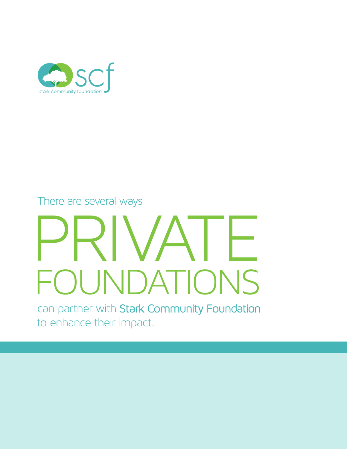

There are several ways

# PRIVATE **OUNDATIONS**

can partner with Stark Community Foundation to enhance their impact.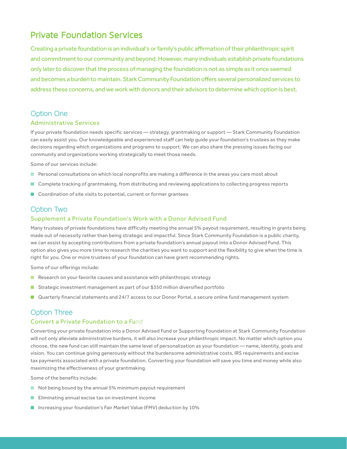# Private Foundation Services

Creating a private foundation is an individual's or family's public affirmation of their philanthropic spirit and commitment to our community and beyond. However, many individuals establish private foundations only later to discover that the process of managing the foundation is not as simple as it once seemed and becomes a burden to maintain. Stark Community Foundation offers several personalized services to address these concerns, and we work with donors and their advisors to determine which option is best.

# Option One

### Administrative Services

If your private foundation needs specific services — strategy, grantmaking or support — Stark Community Foundation can easily assist you. Our knowledgeable and experienced staff can help guide your foundation's trustees as they make decisions regarding which organizations and programs to support. We can also share the pressing issues facing our community and organizations working strategically to meet those needs.

Some of our services include:

- Personal consultations on which local nonprofits are making a difference in the areas you care most about
- Complete tracking of grantmaking, from distributing and reviewing applications to collecting progress reports
- Coordination of site visits to potential, current or former grantees

# Option Two

### Supplement a Private Foundation's Work with a Donor Advised Fund

Many trustees of private foundations have difficulty meeting the annual 5% payout requirement, resulting in grants being made out of necessity rather than being strategic and impactful. Since Stark Community Foundation is a public charity, we can assist by accepting contributions from a private foundation's annual payout into a Donor Advised Fund. This option also gives you more time to research the charities you want to support and the flexibility to give when the time is right for you. One or more trustees of your foundation can have grant recommending rights.

Some of our offerings include:

- Research on your favorite causes and assistance with philanthropic strategy
- Strategic investment management as part of our \$350 million diversified portfolio
- Quarterly financial statements and 24/7 access to our Donor Portal, a secure online fund management system

# Option Three

### Convert a Private Foundation to a Fund

Converting your private foundation into a Donor Advised Fund or Supporting Foundation at Stark Community Foundation will not only alleviate administrative burdens, it will also increase your philanthropic impact. No matter which option you choose, the new fund can still maintain the same level of personalization as your foundation — name, identity, goals and vision. You can continue giving generously without the burdensome administrative costs, IRS requirements and excise tax payments associated with a private foundation. Converting your foundation will save you time and money while also maximizing the effectiveness of your grantmaking.

Some of the benefits include:

- Not being bound by the annual 5% minimum payout requirement
- Eliminating annual excise tax on investment income
- Increasing your foundation's Fair Market Value (FMV) deduction by 10%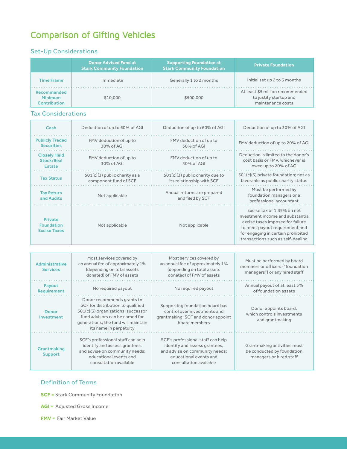# Comparison of Gifting Vehicles

# Set-Up Considerations

|                                                             | <b>Donor Advised Fund at</b><br><b>Stark Community Foundation</b> | <b>Supporting Foundation at</b><br><b>Stark Community Foundation</b> | <b>Private Foundation</b>                                                       |
|-------------------------------------------------------------|-------------------------------------------------------------------|----------------------------------------------------------------------|---------------------------------------------------------------------------------|
| <b>Time Frame</b>                                           | Immediate                                                         | Generally 1 to 2 months                                              | Initial set up 2 to 3 months                                                    |
| <b>Recommended</b><br><b>Minimum</b><br><b>Contribution</b> | \$10,000                                                          | \$500,000                                                            | At least \$5 million recommended<br>to justify startup and<br>maintenance costs |

## Tax Considerations

| Cash                                                       | Deduction of up to 60% of AGI                            | Deduction of up to 60% of AGI                                  | Deduction of up to 30% of AGI                                                                                                                                                                                    |
|------------------------------------------------------------|----------------------------------------------------------|----------------------------------------------------------------|------------------------------------------------------------------------------------------------------------------------------------------------------------------------------------------------------------------|
| <b>Publicly Traded</b><br><b>Securities</b>                | FMV deduction of up to<br>30% of AGI                     | FMV deduction of up to<br>30% of AGI                           | FMV deduction of up to 20% of AGI                                                                                                                                                                                |
| <b>Closely Held</b><br><b>Stock/Real</b><br>Estate         | FMV deduction of up to<br>30% of AGI                     | FMV deduction of up to<br>30% of AGI                           | Deduction is limited to the donor's<br>cost basis or FMV, whichever is<br>lower, up to 20% of AGI                                                                                                                |
| <b>Tax Status</b>                                          | $501(c)(3)$ public charity as a<br>component fund of SCF | $501(c)(3)$ public charity due to<br>its relationship with SCF | 501(c)(3) private foundation; not as<br>favorable as public charity status                                                                                                                                       |
| <b>Tax Return</b><br>and Audits                            | Not applicable                                           | Annual returns are prepared<br>and filed by SCF                | Must be performed by<br>foundation managers or a<br>professional accountant                                                                                                                                      |
| <b>Private</b><br><b>Foundation</b><br><b>Excise Taxes</b> | Not applicable                                           | Not applicable                                                 | Excise tax of 1.39% on net<br>investment income and substantial<br>excise taxes imposed for failure<br>to meet payout requirement and<br>for engaging in certain prohibited<br>transactions such as self-dealing |

| Administrative<br><b>Services</b> | Most services covered by<br>an annual fee of approximately 1%<br>(depending on total assets<br>donated) of FMV of assets                                                                                 | Most services covered by<br>an annual fee of approximately 1%<br>(depending on total assets<br>donated) of FMV of assets                                 | Must be performed by board<br>members or officers ("foundation<br>managers") or any hired staff |
|-----------------------------------|----------------------------------------------------------------------------------------------------------------------------------------------------------------------------------------------------------|----------------------------------------------------------------------------------------------------------------------------------------------------------|-------------------------------------------------------------------------------------------------|
| Payout<br><b>Requirement</b>      | No required payout                                                                                                                                                                                       | No required payout                                                                                                                                       | Annual payout of at least 5%<br>of foundation assets                                            |
| Donor<br>Investment               | Donor recommends grants to<br>SCF for distribution to qualified<br>501(c)(3) organizations; successor<br>fund advisors can be named for<br>generations; the fund will maintain<br>its name in perpetuity | Supporting foundation board has<br>control over investments and<br>grantmaking; SCF and donor appoint<br>board members                                   | Donor appoints board,<br>which controls investments<br>and grantmaking                          |
| Grantmaking<br><b>Support</b>     | SCF's professional staff can help<br>identify and assess grantees,<br>and advise on community needs;<br>educational events and<br>consultation available                                                 | SCF's professional staff can help<br>identify and assess grantees,<br>and advise on community needs;<br>educational events and<br>consultation available | Grantmaking activities must<br>be conducted by foundation<br>managers or hired staff            |

### Definition of Terms

**SCF =** Stark Community Foundation

**AGI =** Adjusted Gross Income

**FMV =** Fair Market Value